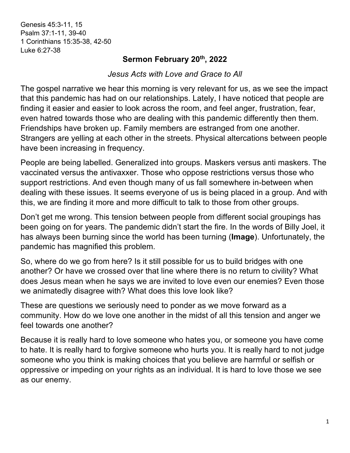Genesis 45:3-11, 15 Psalm 37:1-11, 39-40 1 Corinthians 15:35-38, 42-50 Luke 6:27-38

## **Sermon February 20th, 2022**

*Jesus Acts with Love and Grace to All*

The gospel narrative we hear this morning is very relevant for us, as we see the impact that this pandemic has had on our relationships. Lately, I have noticed that people are finding it easier and easier to look across the room, and feel anger, frustration, fear, even hatred towards those who are dealing with this pandemic differently then them. Friendships have broken up. Family members are estranged from one another. Strangers are yelling at each other in the streets. Physical altercations between people have been increasing in frequency.

People are being labelled. Generalized into groups. Maskers versus anti maskers. The vaccinated versus the antivaxxer. Those who oppose restrictions versus those who support restrictions. And even though many of us fall somewhere in-between when dealing with these issues. It seems everyone of us is being placed in a group. And with this, we are finding it more and more difficult to talk to those from other groups.

Don't get me wrong. This tension between people from different social groupings has been going on for years. The pandemic didn't start the fire. In the words of Billy Joel, it has always been burning since the world has been turning (**Image**). Unfortunately, the pandemic has magnified this problem.

So, where do we go from here? Is it still possible for us to build bridges with one another? Or have we crossed over that line where there is no return to civility? What does Jesus mean when he says we are invited to love even our enemies? Even those we animatedly disagree with? What does this love look like?

These are questions we seriously need to ponder as we move forward as a community. How do we love one another in the midst of all this tension and anger we feel towards one another?

Because it is really hard to love someone who hates you, or someone you have come to hate. It is really hard to forgive someone who hurts you. It is really hard to not judge someone who you think is making choices that you believe are harmful or selfish or oppressive or impeding on your rights as an individual. It is hard to love those we see as our enemy.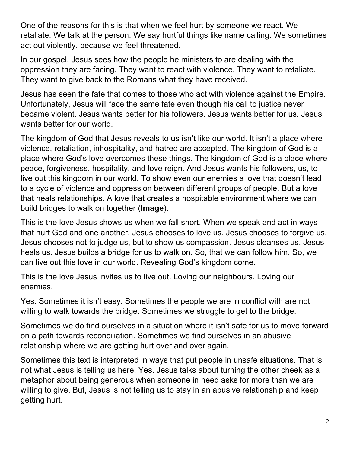One of the reasons for this is that when we feel hurt by someone we react. We retaliate. We talk at the person. We say hurtful things like name calling. We sometimes act out violently, because we feel threatened.

In our gospel, Jesus sees how the people he ministers to are dealing with the oppression they are facing. They want to react with violence. They want to retaliate. They want to give back to the Romans what they have received.

Jesus has seen the fate that comes to those who act with violence against the Empire. Unfortunately, Jesus will face the same fate even though his call to justice never became violent. Jesus wants better for his followers. Jesus wants better for us. Jesus wants better for our world.

The kingdom of God that Jesus reveals to us isn't like our world. It isn't a place where violence, retaliation, inhospitality, and hatred are accepted. The kingdom of God is a place where God's love overcomes these things. The kingdom of God is a place where peace, forgiveness, hospitality, and love reign. And Jesus wants his followers, us, to live out this kingdom in our world. To show even our enemies a love that doesn't lead to a cycle of violence and oppression between different groups of people. But a love that heals relationships. A love that creates a hospitable environment where we can build bridges to walk on together (**Image**).

This is the love Jesus shows us when we fall short. When we speak and act in ways that hurt God and one another. Jesus chooses to love us. Jesus chooses to forgive us. Jesus chooses not to judge us, but to show us compassion. Jesus cleanses us. Jesus heals us. Jesus builds a bridge for us to walk on. So, that we can follow him. So, we can live out this love in our world. Revealing God's kingdom come.

This is the love Jesus invites us to live out. Loving our neighbours. Loving our enemies.

Yes. Sometimes it isn't easy. Sometimes the people we are in conflict with are not willing to walk towards the bridge. Sometimes we struggle to get to the bridge.

Sometimes we do find ourselves in a situation where it isn't safe for us to move forward on a path towards reconciliation. Sometimes we find ourselves in an abusive relationship where we are getting hurt over and over again.

Sometimes this text is interpreted in ways that put people in unsafe situations. That is not what Jesus is telling us here. Yes. Jesus talks about turning the other cheek as a metaphor about being generous when someone in need asks for more than we are willing to give. But, Jesus is not telling us to stay in an abusive relationship and keep getting hurt.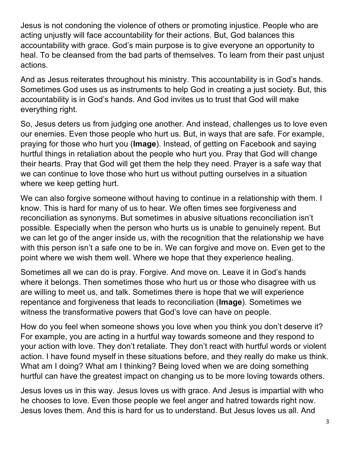Jesus is not condoning the violence of others or promoting injustice. People who are acting unjustly will face accountability for their actions. But, God balances this accountability with grace. God's main purpose is to give everyone an opportunity to heal. To be cleansed from the bad parts of themselves. To learn from their past unjust actions.

And as Jesus reiterates throughout his ministry. This accountability is in God's hands. Sometimes God uses us as instruments to help God in creating a just society. But, this accountability is in God's hands. And God invites us to trust that God will make everything right.

So, Jesus deters us from judging one another. And instead, challenges us to love even our enemies. Even those people who hurt us. But, in ways that are safe. For example, praying for those who hurt you (**Image**). Instead, of getting on Facebook and saying hurtful things in retaliation about the people who hurt you. Pray that God will change their hearts. Pray that God will get them the help they need. Prayer is a safe way that we can continue to love those who hurt us without putting ourselves in a situation where we keep getting hurt.

We can also forgive someone without having to continue in a relationship with them. I know. This is hard for many of us to hear. We often times see forgiveness and reconciliation as synonyms. But sometimes in abusive situations reconciliation isn't possible. Especially when the person who hurts us is unable to genuinely repent. But we can let go of the anger inside us, with the recognition that the relationship we have with this person isn't a safe one to be in. We can forgive and move on. Even get to the point where we wish them well. Where we hope that they experience healing.

Sometimes all we can do is pray. Forgive. And move on. Leave it in God's hands where it belongs. Then sometimes those who hurt us or those who disagree with us are willing to meet us, and talk. Sometimes there is hope that we will experience repentance and forgiveness that leads to reconciliation (**Image**). Sometimes we witness the transformative powers that God's love can have on people.

How do you feel when someone shows you love when you think you don't deserve it? For example, you are acting in a hurtful way towards someone and they respond to your action with love. They don't retaliate. They don't react with hurtful words or violent action. I have found myself in these situations before, and they really do make us think. What am I doing? What am I thinking? Being loved when we are doing something hurtful can have the greatest impact on changing us to be more loving towards others.

Jesus loves us in this way. Jesus loves us with grace. And Jesus is impartial with who he chooses to love. Even those people we feel anger and hatred towards right now. Jesus loves them. And this is hard for us to understand. But Jesus loves us all. And